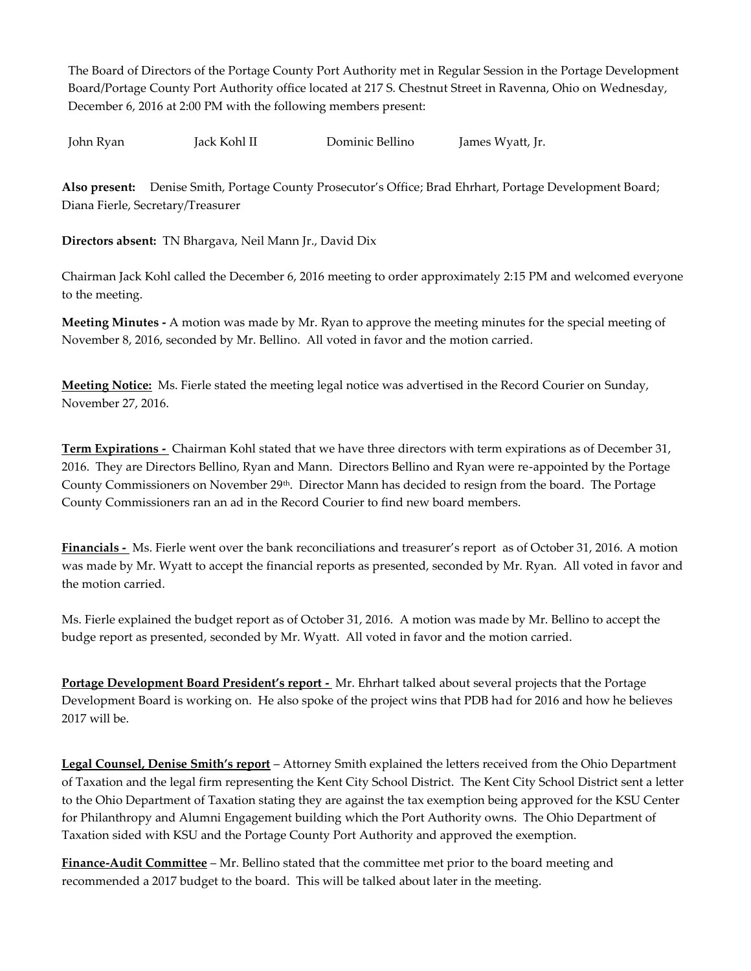The Board of Directors of the Portage County Port Authority met in Regular Session in the Portage Development Board/Portage County Port Authority office located at 217 S. Chestnut Street in Ravenna, Ohio on Wednesday, December 6, 2016 at 2:00 PM with the following members present:

John Ryan Jack Kohl II Dominic Bellino James Wyatt, Jr.

**Also present:** Denise Smith, Portage County Prosecutor's Office; Brad Ehrhart, Portage Development Board; Diana Fierle, Secretary/Treasurer

**Directors absent:** TN Bhargava, Neil Mann Jr., David Dix

Chairman Jack Kohl called the December 6, 2016 meeting to order approximately 2:15 PM and welcomed everyone to the meeting.

**Meeting Minutes -** A motion was made by Mr. Ryan to approve the meeting minutes for the special meeting of November 8, 2016, seconded by Mr. Bellino. All voted in favor and the motion carried.

**Meeting Notice:** Ms. Fierle stated the meeting legal notice was advertised in the Record Courier on Sunday, November 27, 2016.

**Term Expirations -** Chairman Kohl stated that we have three directors with term expirations as of December 31, 2016. They are Directors Bellino, Ryan and Mann. Directors Bellino and Ryan were re-appointed by the Portage County Commissioners on November 29th. Director Mann has decided to resign from the board. The Portage County Commissioners ran an ad in the Record Courier to find new board members.

**Financials -** Ms. Fierle went over the bank reconciliations and treasurer's report as of October 31, 2016. A motion was made by Mr. Wyatt to accept the financial reports as presented, seconded by Mr. Ryan. All voted in favor and the motion carried.

Ms. Fierle explained the budget report as of October 31, 2016. A motion was made by Mr. Bellino to accept the budge report as presented, seconded by Mr. Wyatt. All voted in favor and the motion carried.

**Portage Development Board President's report - Mr. Ehrhart talked about several projects that the Portage** Development Board is working on. He also spoke of the project wins that PDB had for 2016 and how he believes 2017 will be.

**Legal Counsel, Denise Smith's report** – Attorney Smith explained the letters received from the Ohio Department of Taxation and the legal firm representing the Kent City School District. The Kent City School District sent a letter to the Ohio Department of Taxation stating they are against the tax exemption being approved for the KSU Center for Philanthropy and Alumni Engagement building which the Port Authority owns. The Ohio Department of Taxation sided with KSU and the Portage County Port Authority and approved the exemption.

**Finance-Audit Committee** – Mr. Bellino stated that the committee met prior to the board meeting and recommended a 2017 budget to the board. This will be talked about later in the meeting.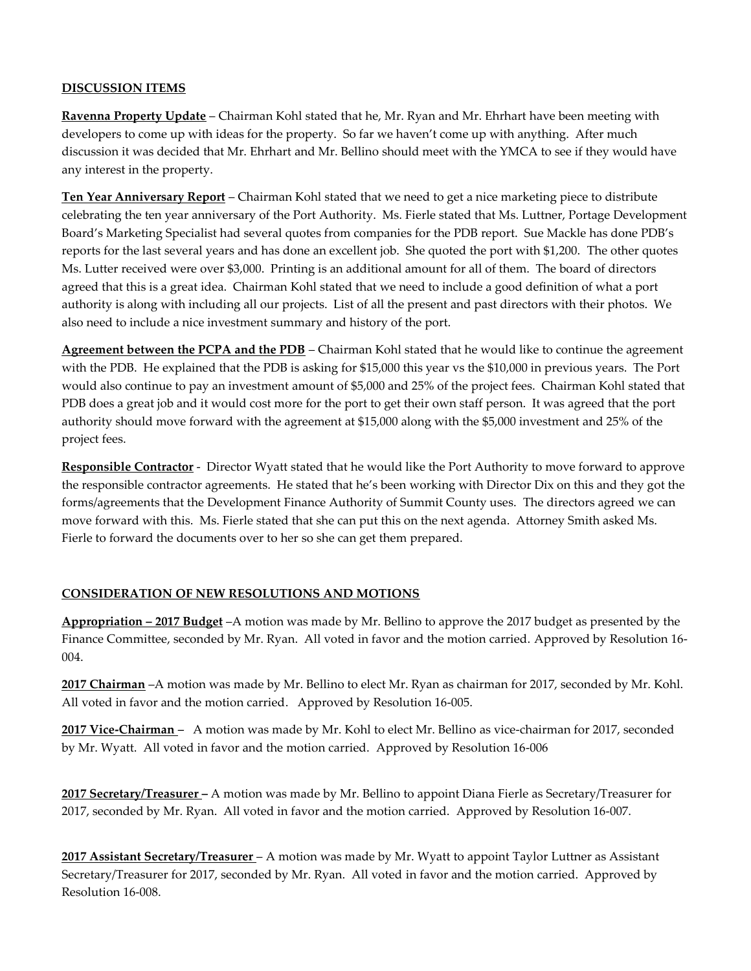### **DISCUSSION ITEMS**

**Ravenna Property Update** – Chairman Kohl stated that he, Mr. Ryan and Mr. Ehrhart have been meeting with developers to come up with ideas for the property. So far we haven't come up with anything. After much discussion it was decided that Mr. Ehrhart and Mr. Bellino should meet with the YMCA to see if they would have any interest in the property.

**Ten Year Anniversary Report** – Chairman Kohl stated that we need to get a nice marketing piece to distribute celebrating the ten year anniversary of the Port Authority. Ms. Fierle stated that Ms. Luttner, Portage Development Board's Marketing Specialist had several quotes from companies for the PDB report. Sue Mackle has done PDB's reports for the last several years and has done an excellent job. She quoted the port with \$1,200. The other quotes Ms. Lutter received were over \$3,000. Printing is an additional amount for all of them. The board of directors agreed that this is a great idea. Chairman Kohl stated that we need to include a good definition of what a port authority is along with including all our projects. List of all the present and past directors with their photos. We also need to include a nice investment summary and history of the port.

**Agreement between the PCPA and the PDB** – Chairman Kohl stated that he would like to continue the agreement with the PDB. He explained that the PDB is asking for \$15,000 this year vs the \$10,000 in previous years. The Port would also continue to pay an investment amount of \$5,000 and 25% of the project fees. Chairman Kohl stated that PDB does a great job and it would cost more for the port to get their own staff person. It was agreed that the port authority should move forward with the agreement at \$15,000 along with the \$5,000 investment and 25% of the project fees.

**Responsible Contractor** - Director Wyatt stated that he would like the Port Authority to move forward to approve the responsible contractor agreements. He stated that he's been working with Director Dix on this and they got the forms/agreements that the Development Finance Authority of Summit County uses. The directors agreed we can move forward with this. Ms. Fierle stated that she can put this on the next agenda. Attorney Smith asked Ms. Fierle to forward the documents over to her so she can get them prepared.

## **CONSIDERATION OF NEW RESOLUTIONS AND MOTIONS**

**Appropriation – 2017 Budget** –A motion was made by Mr. Bellino to approve the 2017 budget as presented by the Finance Committee, seconded by Mr. Ryan. All voted in favor and the motion carried. Approved by Resolution 16- 004.

**2017 Chairman** –A motion was made by Mr. Bellino to elect Mr. Ryan as chairman for 2017, seconded by Mr. Kohl. All voted in favor and the motion carried.Approved by Resolution 16-005.

**2017 Vice-Chairman** *–* A motion was made by Mr. Kohl to elect Mr. Bellino as vice-chairman for 2017, seconded by Mr. Wyatt. All voted in favor and the motion carried.Approved by Resolution 16-006

**2017 Secretary/Treasurer –** A motion was made by Mr. Bellino to appoint Diana Fierle as Secretary/Treasurer for 2017, seconded by Mr. Ryan. All voted in favor and the motion carried. Approved by Resolution 16-007.

**2017 Assistant Secretary/Treasurer** – A motion was made by Mr. Wyatt to appoint Taylor Luttner as Assistant Secretary/Treasurer for 2017, seconded by Mr. Ryan. All voted in favor and the motion carried. Approved by Resolution 16-008.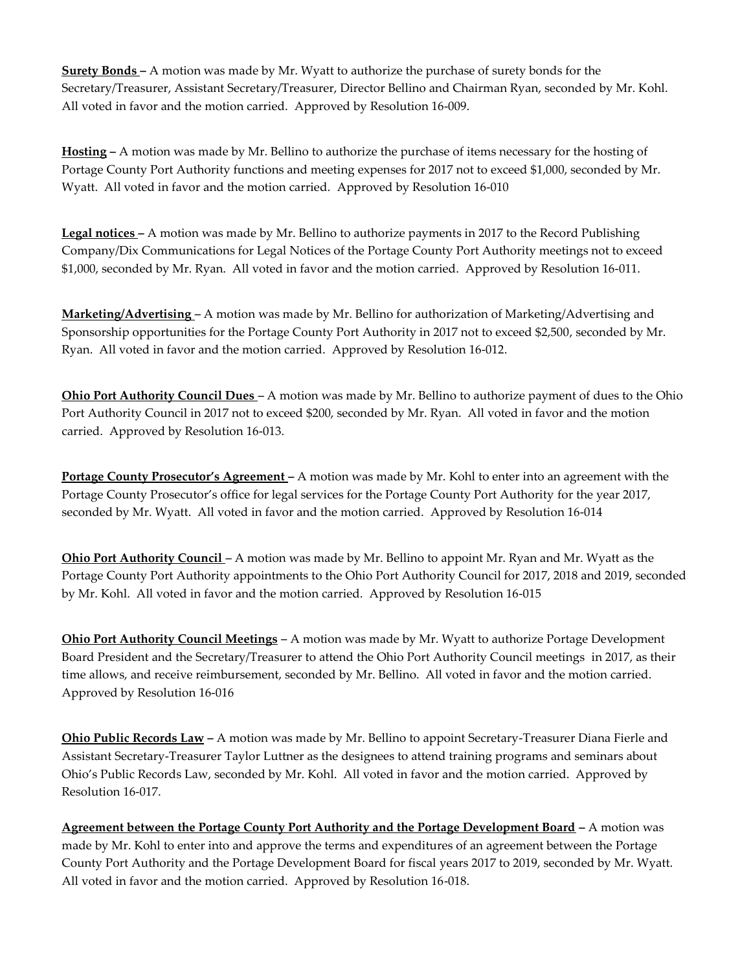**Surety Bonds –** A motion was made by Mr. Wyatt to authorize the purchase of surety bonds for the Secretary/Treasurer, Assistant Secretary/Treasurer, Director Bellino and Chairman Ryan, seconded by Mr. Kohl. All voted in favor and the motion carried. Approved by Resolution 16-009.

**Hosting –** A motion was made by Mr. Bellino to authorize the purchase of items necessary for the hosting of Portage County Port Authority functions and meeting expenses for 2017 not to exceed \$1,000, seconded by Mr. Wyatt. All voted in favor and the motion carried. Approved by Resolution 16-010

**Legal notices –** A motion was made by Mr. Bellino to authorize payments in 2017 to the Record Publishing Company/Dix Communications for Legal Notices of the Portage County Port Authority meetings not to exceed \$1,000, seconded by Mr. Ryan. All voted in favor and the motion carried. Approved by Resolution 16-011.

**Marketing/Advertising** *–* A motion was made by Mr. Bellino for authorization of Marketing/Advertising and Sponsorship opportunities for the Portage County Port Authority in 2017 not to exceed \$2,500, seconded by Mr. Ryan. All voted in favor and the motion carried. Approved by Resolution 16-012.

**Ohio Port Authority Council Dues** *–* A motion was made by Mr. Bellino to authorize payment of dues to the Ohio Port Authority Council in 2017 not to exceed \$200, seconded by Mr. Ryan. All voted in favor and the motion carried. Approved by Resolution 16-013.

**Portage County Prosecutor's Agreement –** A motion was made by Mr. Kohl to enter into an agreement with the Portage County Prosecutor's office for legal services for the Portage County Port Authority for the year 2017, seconded by Mr. Wyatt. All voted in favor and the motion carried.Approved by Resolution 16-014

**Ohio Port Authority Council** *–* A motion was made by Mr. Bellino to appoint Mr. Ryan and Mr. Wyatt as the Portage County Port Authority appointments to the Ohio Port Authority Council for 2017, 2018 and 2019, seconded by Mr. Kohl. All voted in favor and the motion carried. Approved by Resolution 16-015

**Ohio Port Authority Council Meetings** *–* A motion was made by Mr. Wyatt to authorize Portage Development Board President and the Secretary/Treasurer to attend the Ohio Port Authority Council meetings in 2017, as their time allows, and receive reimbursement, seconded by Mr. Bellino. All voted in favor and the motion carried. Approved by Resolution 16-016

**Ohio Public Records Law –** A motion was made by Mr. Bellino to appoint Secretary-Treasurer Diana Fierle and Assistant Secretary-Treasurer Taylor Luttner as the designees to attend training programs and seminars about Ohio's Public Records Law, seconded by Mr. Kohl. All voted in favor and the motion carried. Approved by Resolution 16-017.

**Agreement between the Portage County Port Authority and the Portage Development Board –** A motion was made by Mr. Kohl to enter into and approve the terms and expenditures of an agreement between the Portage County Port Authority and the Portage Development Board for fiscal years 2017 to 2019, seconded by Mr. Wyatt. All voted in favor and the motion carried. Approved by Resolution 16-018.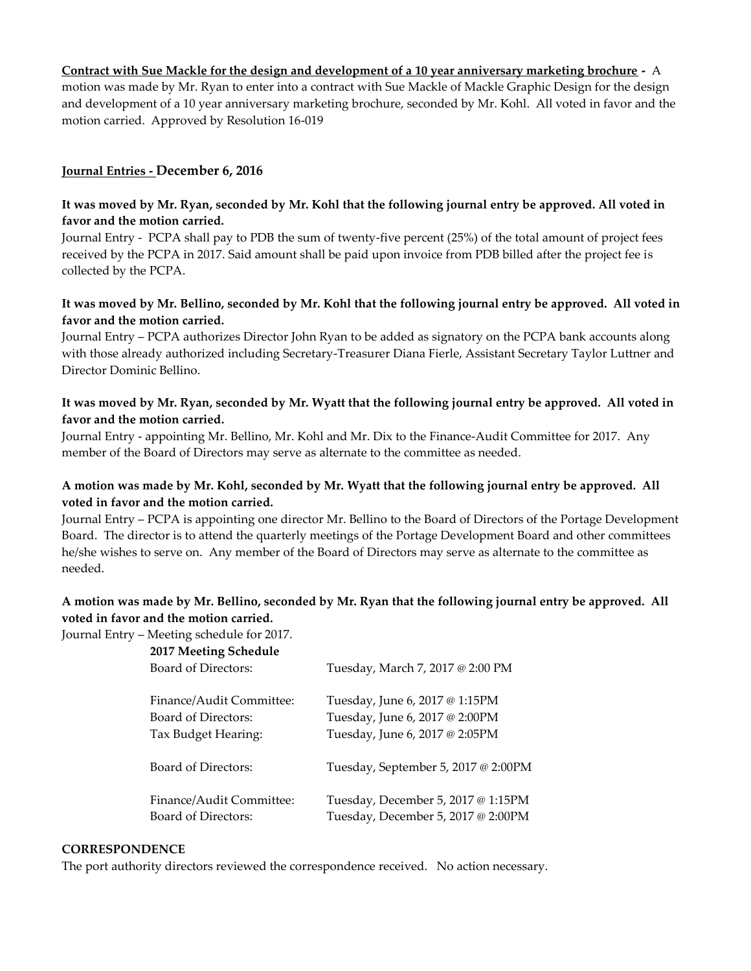### **Contract with Sue Mackle for the design and development of a 10 year anniversary marketing brochure -** A

motion was made by Mr. Ryan to enter into a contract with Sue Mackle of Mackle Graphic Design for the design and development of a 10 year anniversary marketing brochure, seconded by Mr. Kohl. All voted in favor and the motion carried. Approved by Resolution 16-019

### **Journal Entries - December 6, 2016**

### **It was moved by Mr. Ryan, seconded by Mr. Kohl that the following journal entry be approved. All voted in favor and the motion carried.**

Journal Entry - PCPA shall pay to PDB the sum of twenty-five percent (25%) of the total amount of project fees received by the PCPA in 2017. Said amount shall be paid upon invoice from PDB billed after the project fee is collected by the PCPA.

### **It was moved by Mr. Bellino, seconded by Mr. Kohl that the following journal entry be approved. All voted in favor and the motion carried.**

Journal Entry – PCPA authorizes Director John Ryan to be added as signatory on the PCPA bank accounts along with those already authorized including Secretary-Treasurer Diana Fierle, Assistant Secretary Taylor Luttner and Director Dominic Bellino.

### **It was moved by Mr. Ryan, seconded by Mr. Wyatt that the following journal entry be approved. All voted in favor and the motion carried.**

Journal Entry - appointing Mr. Bellino, Mr. Kohl and Mr. Dix to the Finance-Audit Committee for 2017. Any member of the Board of Directors may serve as alternate to the committee as needed.

### **A motion was made by Mr. Kohl, seconded by Mr. Wyatt that the following journal entry be approved. All voted in favor and the motion carried.**

Journal Entry – PCPA is appointing one director Mr. Bellino to the Board of Directors of the Portage Development Board. The director is to attend the quarterly meetings of the Portage Development Board and other committees he/she wishes to serve on. Any member of the Board of Directors may serve as alternate to the committee as needed.

## **A motion was made by Mr. Bellino, seconded by Mr. Ryan that the following journal entry be approved. All voted in favor and the motion carried.**

Journal Entry – Meeting schedule for 2017.

| 2017 Meeting Schedule<br>Board of Directors: | Tuesday, March 7, 2017 @ 2:00 PM    |
|----------------------------------------------|-------------------------------------|
| Finance/Audit Committee:                     | Tuesday, June 6, 2017 @ 1:15PM      |
| Board of Directors:                          | Tuesday, June 6, 2017 @ 2:00PM      |
| Tax Budget Hearing:                          | Tuesday, June 6, 2017 @ 2:05PM      |
| Board of Directors:                          | Tuesday, September 5, 2017 @ 2:00PM |
| Finance/Audit Committee:                     | Tuesday, December 5, 2017 @ 1:15PM  |
| Board of Directors:                          | Tuesday, December 5, 2017 @ 2:00PM  |

#### **CORRESPONDENCE**

The port authority directors reviewed the correspondence received. No action necessary.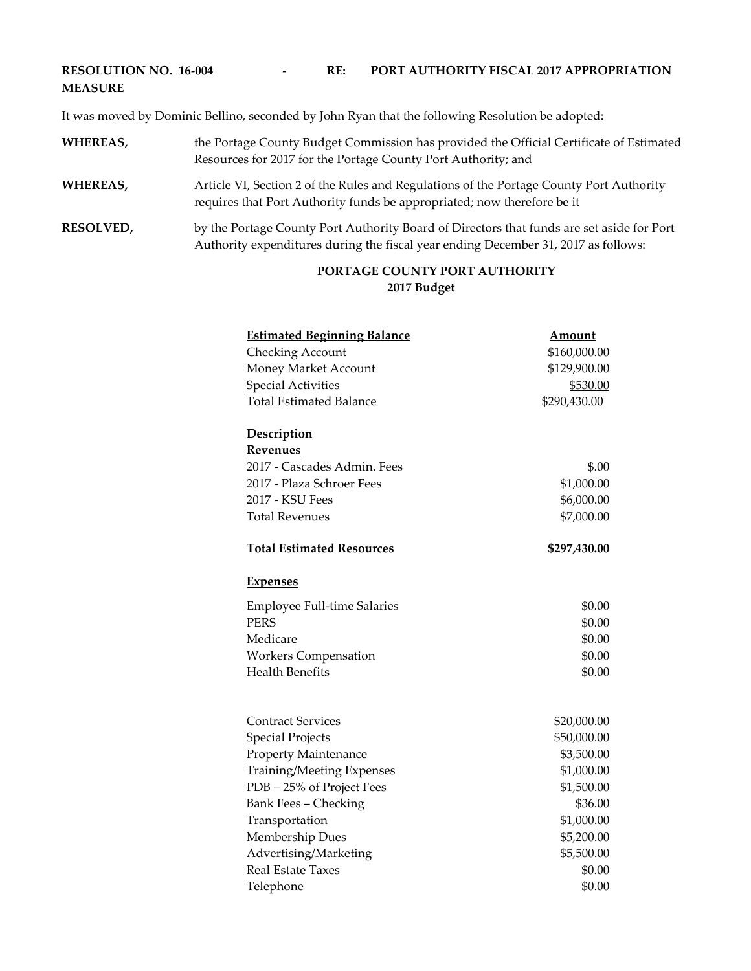# **RESOLUTION NO. 16-004 - RE: PORT AUTHORITY FISCAL 2017 APPROPRIATION MEASURE**

It was moved by Dominic Bellino, seconded by John Ryan that the following Resolution be adopted:

- **WHEREAS,** the Portage County Budget Commission has provided the Official Certificate of Estimated Resources for 2017 for the Portage County Port Authority; and
- WHEREAS, Article VI, Section 2 of the Rules and Regulations of the Portage County Port Authority requires that Port Authority funds be appropriated; now therefore be it
- **RESOLVED,** by the Portage County Port Authority Board of Directors that funds are set aside for Port Authority expenditures during the fiscal year ending December 31, 2017 as follows:

### **PORTAGE COUNTY PORT AUTHORITY 2017 Budget**

| <b>Estimated Beginning Balance</b>  | <b>Amount</b> |
|-------------------------------------|---------------|
| <b>Checking Account</b>             | \$160,000.00  |
| Money Market Account                | \$129,900.00  |
| <b>Special Activities</b>           | \$530.00      |
| <b>Total Estimated Balance</b>      | \$290,430.00  |
| Description                         |               |
| Revenues                            |               |
| 2017 - Cascades Admin, Fees         | \$.00         |
| 2017 - Plaza Schroer Fees           | \$1,000.00    |
| 2017 - KSU Fees                     | \$6,000.00    |
| <b>Total Revenues</b>               | \$7,000.00    |
| <b>Total Estimated Resources</b>    | \$297,430.00  |
| <b>Expenses</b>                     |               |
| <b>Employee Full-time Salaries</b>  | \$0.00        |
| <b>PERS</b>                         | \$0.00        |
| Medicare                            | \$0.00        |
| <b>Workers Compensation</b>         | \$0.00        |
| <b>Health Benefits</b>              | \$0.00        |
| <b>Contract Services</b>            | \$20,000.00   |
| <b>Special Projects</b>             | \$50,000.00   |
| <b>Property Maintenance</b>         | \$3,500.00    |
| Training/Meeting Expenses           | \$1,000.00    |
| PDB - 25% of Project Fees           | \$1,500.00    |
| <b>Bank Fees - Checking</b>         | \$36.00       |
| Transportation                      | \$1,000.00    |
| Membership Dues                     | \$5,200.00    |
| Advertising/Marketing<br>\$5,500.00 |               |
| <b>Real Estate Taxes</b>            |               |
| Telephone                           | \$0.00        |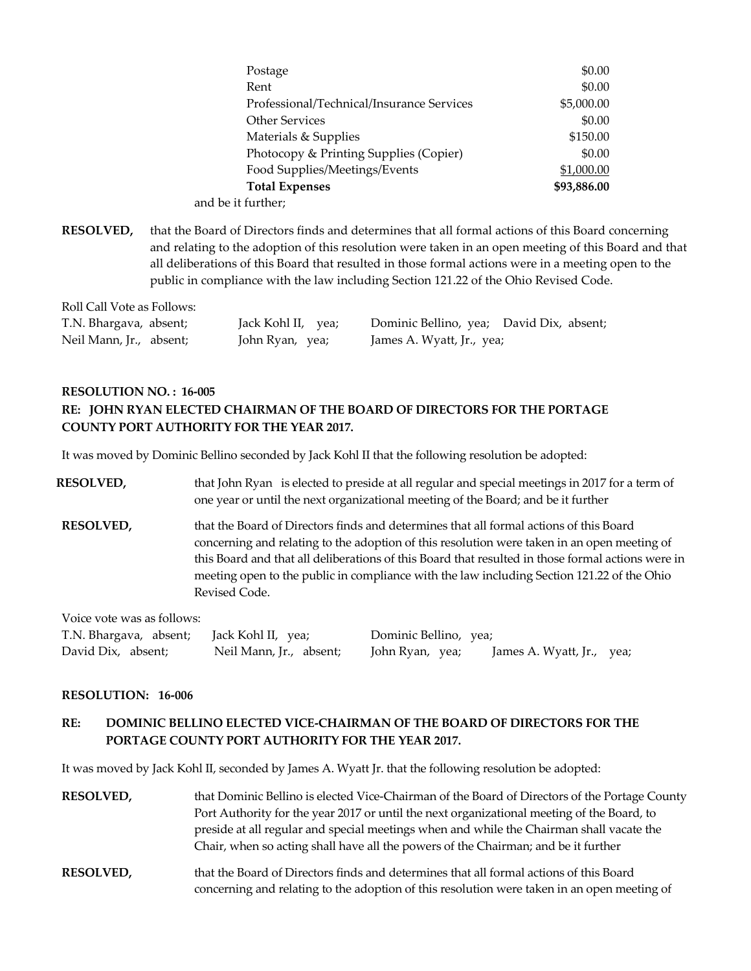| Postage                                   | \$0.00      |
|-------------------------------------------|-------------|
| Rent                                      | \$0.00      |
| Professional/Technical/Insurance Services | \$5,000.00  |
| <b>Other Services</b>                     | \$0.00      |
| Materials & Supplies                      | \$150.00    |
| Photocopy & Printing Supplies (Copier)    | \$0.00      |
| Food Supplies/Meetings/Events             | \$1,000.00  |
| <b>Total Expenses</b>                     | \$93,886.00 |
| and be it further;                        |             |

**RESOLVED,** that the Board of Directors finds and determines that all formal actions of this Board concerning and relating to the adoption of this resolution were taken in an open meeting of this Board and that all deliberations of this Board that resulted in those formal actions were in a meeting open to the public in compliance with the law including Section 121.22 of the Ohio Revised Code.

| Roll Call Vote as Follows: |                    |                                          |  |
|----------------------------|--------------------|------------------------------------------|--|
| T.N. Bhargava, absent;     | Jack Kohl II, yea; | Dominic Bellino, yea; David Dix, absent; |  |
| Neil Mann, Jr., absent;    | John Ryan, yea;    | James A. Wyatt, Jr., yea;                |  |

# **RESOLUTION NO. : 16-005 RE: JOHN RYAN ELECTED CHAIRMAN OF THE BOARD OF DIRECTORS FOR THE PORTAGE COUNTY PORT AUTHORITY FOR THE YEAR 2017.**

It was moved by Dominic Bellino seconded by Jack Kohl II that the following resolution be adopted:

| <b>RESOLVED,</b>                                                                                                                                                                                                                                                                                                                   | that John Ryan is elected to preside at all regular and special meetings in 2017 for a term of<br>one year or until the next organizational meeting of the Board; and be it further                                                                                                                                                                                                                       |
|------------------------------------------------------------------------------------------------------------------------------------------------------------------------------------------------------------------------------------------------------------------------------------------------------------------------------------|-----------------------------------------------------------------------------------------------------------------------------------------------------------------------------------------------------------------------------------------------------------------------------------------------------------------------------------------------------------------------------------------------------------|
| <b>RESOLVED,</b>                                                                                                                                                                                                                                                                                                                   | that the Board of Directors finds and determines that all formal actions of this Board<br>concerning and relating to the adoption of this resolution were taken in an open meeting of<br>this Board and that all deliberations of this Board that resulted in those formal actions were in<br>meeting open to the public in compliance with the law including Section 121.22 of the Ohio<br>Revised Code. |
| $\mathbf{r}$ $\mathbf{r}$ $\mathbf{r}$ $\mathbf{r}$ $\mathbf{r}$ $\mathbf{r}$ $\mathbf{r}$ $\mathbf{r}$ $\mathbf{r}$ $\mathbf{r}$ $\mathbf{r}$ $\mathbf{r}$ $\mathbf{r}$ $\mathbf{r}$ $\mathbf{r}$ $\mathbf{r}$ $\mathbf{r}$ $\mathbf{r}$ $\mathbf{r}$ $\mathbf{r}$ $\mathbf{r}$ $\mathbf{r}$ $\mathbf{r}$ $\mathbf{r}$ $\mathbf{$ |                                                                                                                                                                                                                                                                                                                                                                                                           |

Voice vote was as follows:

| T.N. Bhargava, absent; Jack Kohl II, yea; |                         | Dominic Bellino, yea;                        |
|-------------------------------------------|-------------------------|----------------------------------------------|
| David Dix, absent;                        | Neil Mann, Jr., absent; | John Ryan, yea;<br>James A. Wyatt, Jr., yea; |

#### **RESOLUTION: 16-006**

# **RE: DOMINIC BELLINO ELECTED VICE-CHAIRMAN OF THE BOARD OF DIRECTORS FOR THE PORTAGE COUNTY PORT AUTHORITY FOR THE YEAR 2017.**

It was moved by Jack Kohl II, seconded by James A. Wyatt Jr. that the following resolution be adopted:

| <b>RESOLVED,</b> | that Dominic Bellino is elected Vice-Chairman of the Board of Directors of the Portage County<br>Port Authority for the year 2017 or until the next organizational meeting of the Board, to<br>preside at all regular and special meetings when and while the Chairman shall vacate the<br>Chair, when so acting shall have all the powers of the Chairman; and be it further |
|------------------|-------------------------------------------------------------------------------------------------------------------------------------------------------------------------------------------------------------------------------------------------------------------------------------------------------------------------------------------------------------------------------|
| <b>RESOLVED,</b> | that the Board of Directors finds and determines that all formal actions of this Board<br>concerning and relating to the adoption of this resolution were taken in an open meeting of                                                                                                                                                                                         |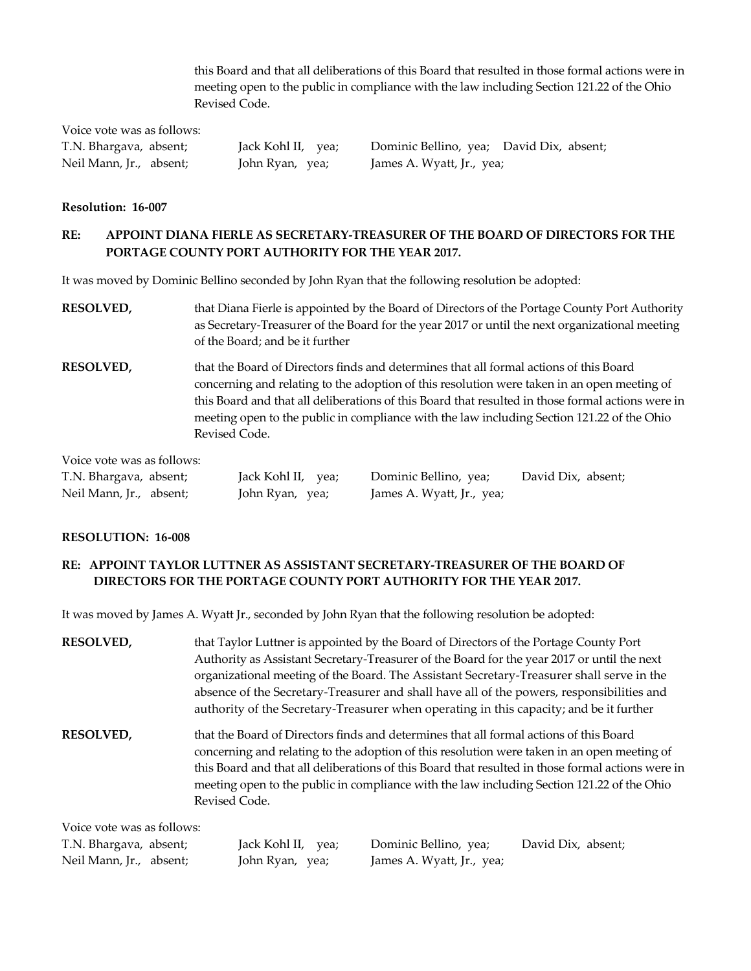this Board and that all deliberations of this Board that resulted in those formal actions were in meeting open to the public in compliance with the law including Section 121.22 of the Ohio Revised Code.

Voice vote was as follows:

T.N. Bhargava, absent; Jack Kohl II, yea; Dominic Bellino, yea; David Dix, absent; Neil Mann, Jr., absent; John Ryan, yea; James A. Wyatt, Jr., yea;

#### **Resolution: 16-007**

## **RE: APPOINT DIANA FIERLE AS SECRETARY-TREASURER OF THE BOARD OF DIRECTORS FOR THE PORTAGE COUNTY PORT AUTHORITY FOR THE YEAR 2017.**

It was moved by Dominic Bellino seconded by John Ryan that the following resolution be adopted:

- **RESOLVED,** that Diana Fierle is appointed by the Board of Directors of the Portage County Port Authority as Secretary-Treasurer of the Board for the year 2017 or until the next organizational meeting of the Board; and be it further
- **RESOLVED,** that the Board of Directors finds and determines that all formal actions of this Board concerning and relating to the adoption of this resolution were taken in an open meeting of this Board and that all deliberations of this Board that resulted in those formal actions were in meeting open to the public in compliance with the law including Section 121.22 of the Ohio Revised Code.

Voice vote was as follows:

| T.N. Bhargava, absent;  | Jack Kohl II, yea; | Dominic Bellino, yea;     | David Dix, absent; |
|-------------------------|--------------------|---------------------------|--------------------|
| Neil Mann, Jr., absent; | John Ryan, yea;    | James A. Wyatt, Jr., yea; |                    |

### **RESOLUTION: 16-008**

### **RE: APPOINT TAYLOR LUTTNER AS ASSISTANT SECRETARY-TREASURER OF THE BOARD OF DIRECTORS FOR THE PORTAGE COUNTY PORT AUTHORITY FOR THE YEAR 2017.**

It was moved by James A. Wyatt Jr., seconded by John Ryan that the following resolution be adopted:

| <b>RESOLVED,</b>           | that Taylor Luttner is appointed by the Board of Directors of the Portage County Port                                                                                                           |  |  |
|----------------------------|-------------------------------------------------------------------------------------------------------------------------------------------------------------------------------------------------|--|--|
|                            | Authority as Assistant Secretary-Treasurer of the Board for the year 2017 or until the next                                                                                                     |  |  |
|                            | organizational meeting of the Board. The Assistant Secretary-Treasurer shall serve in the                                                                                                       |  |  |
|                            | absence of the Secretary-Treasurer and shall have all of the powers, responsibilities and                                                                                                       |  |  |
|                            | authority of the Secretary-Treasurer when operating in this capacity; and be it further                                                                                                         |  |  |
| <b>RESOLVED,</b>           | that the Board of Directors finds and determines that all formal actions of this Board<br>concerning and relating to the adoption of this resolution were taken in an open meeting of           |  |  |
|                            | this Board and that all deliberations of this Board that resulted in those formal actions were in<br>meeting open to the public in compliance with the law including Section 121.22 of the Ohio |  |  |
|                            | Revised Code.                                                                                                                                                                                   |  |  |
| Voice vote was as follows: |                                                                                                                                                                                                 |  |  |
| T.N. Bhargava, absent;     | Jack Kohl II, yea;<br>Dominic Bellino, yea;<br>David Dix, absent;                                                                                                                               |  |  |

Neil Mann, Jr., absent; John Ryan, yea; James A. Wyatt, Jr., yea;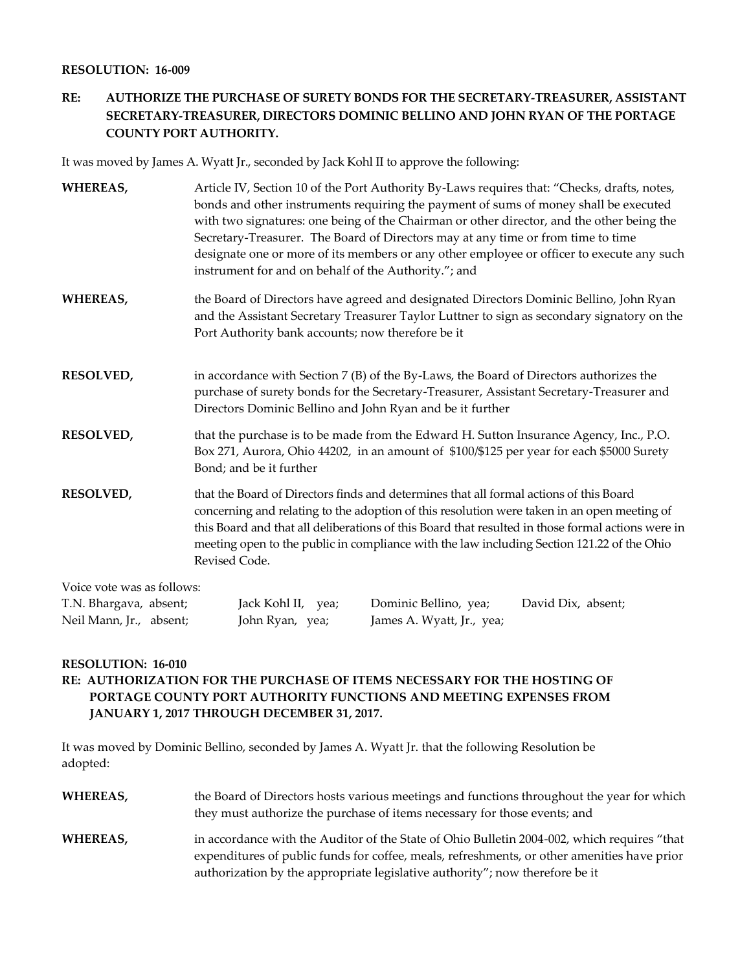### **RESOLUTION: 16-009**

# **RE: AUTHORIZE THE PURCHASE OF SURETY BONDS FOR THE SECRETARY-TREASURER, ASSISTANT SECRETARY-TREASURER, DIRECTORS DOMINIC BELLINO AND JOHN RYAN OF THE PORTAGE COUNTY PORT AUTHORITY.**

It was moved by James A. Wyatt Jr., seconded by Jack Kohl II to approve the following:

| <b>WHEREAS,</b>            | Article IV, Section 10 of the Port Authority By-Laws requires that: "Checks, drafts, notes,<br>bonds and other instruments requiring the payment of sums of money shall be executed<br>with two signatures: one being of the Chairman or other director, and the other being the<br>Secretary-Treasurer. The Board of Directors may at any time or from time to time<br>designate one or more of its members or any other employee or officer to execute any such<br>instrument for and on behalf of the Authority."; and |
|----------------------------|---------------------------------------------------------------------------------------------------------------------------------------------------------------------------------------------------------------------------------------------------------------------------------------------------------------------------------------------------------------------------------------------------------------------------------------------------------------------------------------------------------------------------|
| <b>WHEREAS,</b>            | the Board of Directors have agreed and designated Directors Dominic Bellino, John Ryan<br>and the Assistant Secretary Treasurer Taylor Luttner to sign as secondary signatory on the<br>Port Authority bank accounts; now therefore be it                                                                                                                                                                                                                                                                                 |
| <b>RESOLVED,</b>           | in accordance with Section $7(B)$ of the By-Laws, the Board of Directors authorizes the<br>purchase of surety bonds for the Secretary-Treasurer, Assistant Secretary-Treasurer and<br>Directors Dominic Bellino and John Ryan and be it further                                                                                                                                                                                                                                                                           |
| <b>RESOLVED,</b>           | that the purchase is to be made from the Edward H. Sutton Insurance Agency, Inc., P.O.<br>Box 271, Aurora, Ohio 44202, in an amount of \$100/\$125 per year for each \$5000 Surety<br>Bond; and be it further                                                                                                                                                                                                                                                                                                             |
| <b>RESOLVED,</b>           | that the Board of Directors finds and determines that all formal actions of this Board<br>concerning and relating to the adoption of this resolution were taken in an open meeting of<br>this Board and that all deliberations of this Board that resulted in those formal actions were in<br>meeting open to the public in compliance with the law including Section 121.22 of the Ohio<br>Revised Code.                                                                                                                 |
| Voice vote was as follows: |                                                                                                                                                                                                                                                                                                                                                                                                                                                                                                                           |

| T.N. Bhargava, absent;  | Jack Kohl II, yea; | Dominic Bellino, yea;     | David Dix, absent; |
|-------------------------|--------------------|---------------------------|--------------------|
| Neil Mann, Jr., absent; | John Ryan, yea;    | James A. Wyatt, Jr., yea; |                    |

#### **RESOLUTION: 16-010**

## **RE: AUTHORIZATION FOR THE PURCHASE OF ITEMS NECESSARY FOR THE HOSTING OF PORTAGE COUNTY PORT AUTHORITY FUNCTIONS AND MEETING EXPENSES FROM JANUARY 1, 2017 THROUGH DECEMBER 31, 2017.**

It was moved by Dominic Bellino, seconded by James A. Wyatt Jr. that the following Resolution be adopted:

| WHEREAS, | the Board of Directors hosts various meetings and functions throughout the year for which<br>they must authorize the purchase of items necessary for those events; and                                                                                                     |
|----------|----------------------------------------------------------------------------------------------------------------------------------------------------------------------------------------------------------------------------------------------------------------------------|
| WHEREAS, | in accordance with the Auditor of the State of Ohio Bulletin 2004-002, which requires "that<br>expenditures of public funds for coffee, meals, refreshments, or other amenities have prior<br>authorization by the appropriate legislative authority"; now therefore be it |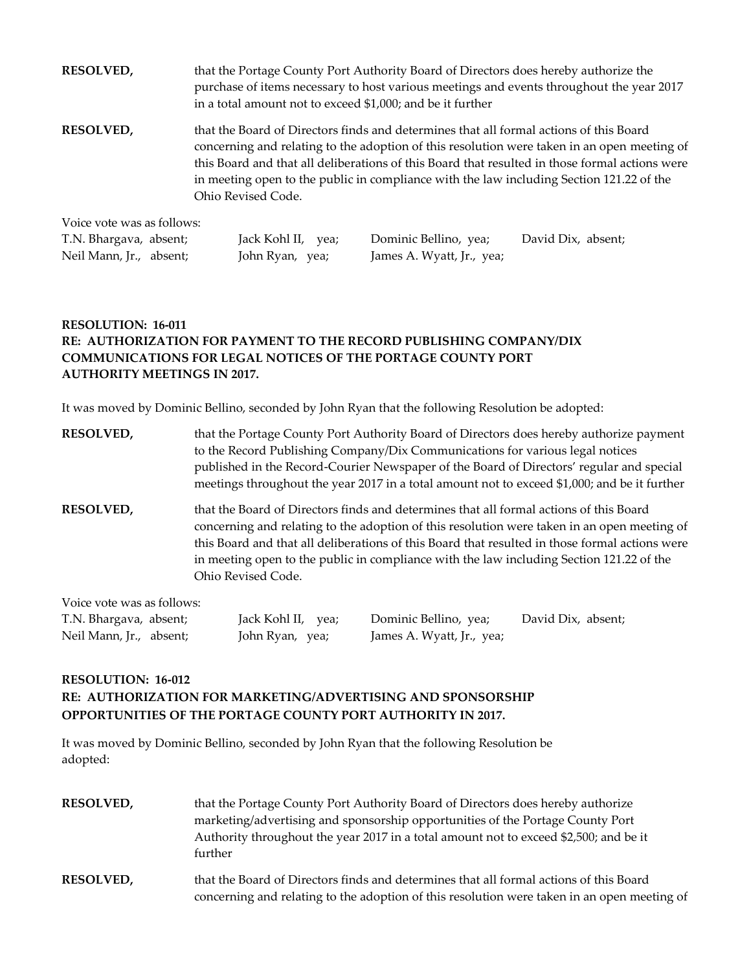| <b>RESOLVED,</b>           | that the Portage County Port Authority Board of Directors does hereby authorize the<br>purchase of items necessary to host various meetings and events throughout the year 2017<br>in a total amount not to exceed \$1,000; and be it further                                                                                                                                                             |
|----------------------------|-----------------------------------------------------------------------------------------------------------------------------------------------------------------------------------------------------------------------------------------------------------------------------------------------------------------------------------------------------------------------------------------------------------|
| <b>RESOLVED,</b>           | that the Board of Directors finds and determines that all formal actions of this Board<br>concerning and relating to the adoption of this resolution were taken in an open meeting of<br>this Board and that all deliberations of this Board that resulted in those formal actions were<br>in meeting open to the public in compliance with the law including Section 121.22 of the<br>Ohio Revised Code. |
| Voice vote was as follows: |                                                                                                                                                                                                                                                                                                                                                                                                           |

| T.N. Bhargava, absent;  | Jack Kohl II, yea; | Dominic Bellino, yea;     | David Dix, absent; |
|-------------------------|--------------------|---------------------------|--------------------|
| Neil Mann, Jr., absent; | John Ryan, yea;    | James A. Wyatt, Jr., yea; |                    |

# **RESOLUTION: 16-011 RE: AUTHORIZATION FOR PAYMENT TO THE RECORD PUBLISHING COMPANY/DIX COMMUNICATIONS FOR LEGAL NOTICES OF THE PORTAGE COUNTY PORT AUTHORITY MEETINGS IN 2017.**

It was moved by Dominic Bellino, seconded by John Ryan that the following Resolution be adopted:

| <b>RESOLVED,</b>           | that the Portage County Port Authority Board of Directors does hereby authorize payment<br>to the Record Publishing Company/Dix Communications for various legal notices<br>published in the Record-Courier Newspaper of the Board of Directors' regular and special<br>meetings throughout the year 2017 in a total amount not to exceed \$1,000; and be it further                                      |
|----------------------------|-----------------------------------------------------------------------------------------------------------------------------------------------------------------------------------------------------------------------------------------------------------------------------------------------------------------------------------------------------------------------------------------------------------|
| <b>RESOLVED,</b>           | that the Board of Directors finds and determines that all formal actions of this Board<br>concerning and relating to the adoption of this resolution were taken in an open meeting of<br>this Board and that all deliberations of this Board that resulted in those formal actions were<br>in meeting open to the public in compliance with the law including Section 121.22 of the<br>Ohio Revised Code. |
| Voice vote was as follows: |                                                                                                                                                                                                                                                                                                                                                                                                           |
| TN Phorography             | Dominic Rolling you<br>Dovid Div aboont<br>Look $V$ obl II $\cdots$                                                                                                                                                                                                                                                                                                                                       |

| T.N. Bhargava, absent;  | Jack Kohl II, yea; | Dominic Bellino, yea;     | David Dix, absent; |
|-------------------------|--------------------|---------------------------|--------------------|
| Neil Mann, Jr., absent; | John Ryan, yea;    | James A. Wyatt, Jr., yea; |                    |

# **RESOLUTION: 16-012 RE: AUTHORIZATION FOR MARKETING/ADVERTISING AND SPONSORSHIP OPPORTUNITIES OF THE PORTAGE COUNTY PORT AUTHORITY IN 2017.**

It was moved by Dominic Bellino, seconded by John Ryan that the following Resolution be adopted:

| <b>RESOLVED,</b> | that the Portage County Port Authority Board of Directors does hereby authorize<br>marketing/advertising and sponsorship opportunities of the Portage County Port<br>Authority throughout the year 2017 in a total amount not to exceed \$2,500; and be it<br>further |
|------------------|-----------------------------------------------------------------------------------------------------------------------------------------------------------------------------------------------------------------------------------------------------------------------|
| <b>RESOLVED,</b> | that the Board of Directors finds and determines that all formal actions of this Board<br>concerning and relating to the adoption of this resolution were taken in an open meeting of                                                                                 |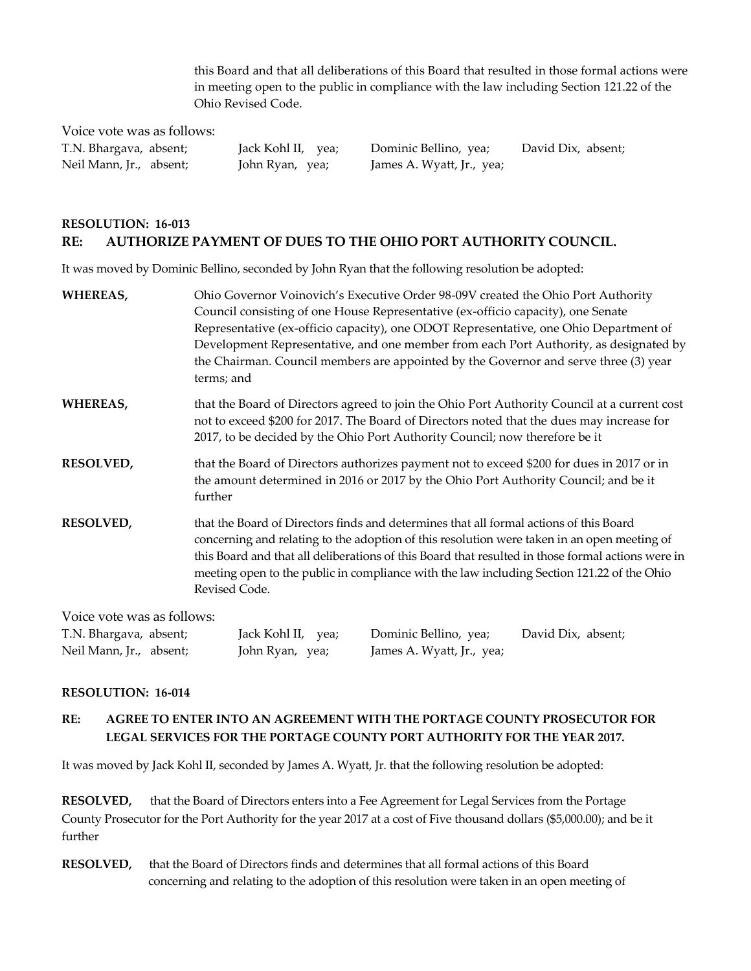this Board and that all deliberations of this Board that resulted in those formal actions were in meeting open to the public in compliance with the law including Section 121.22 of the Ohio Revised Code.

Voice vote was as follows:

Neil Mann, Jr., absent; John Ryan, yea; James A. Wyatt, Jr., yea;

T.N. Bhargava, absent; Jack Kohl II, yea; Dominic Bellino, yea; David Dix, absent;

# **RESOLUTION: 16-013 RE: AUTHORIZE PAYMENT OF DUES TO THE OHIO PORT AUTHORITY COUNCIL.**

It was moved by Dominic Bellino, seconded by John Ryan that the following resolution be adopted:

| <b>WHEREAS,</b>            | Ohio Governor Voinovich's Executive Order 98-09V created the Ohio Port Authority<br>Council consisting of one House Representative (ex-officio capacity), one Senate<br>Representative (ex-officio capacity), one ODOT Representative, one Ohio Department of<br>Development Representative, and one member from each Port Authority, as designated by<br>the Chairman. Council members are appointed by the Governor and serve three (3) year<br>terms; and |
|----------------------------|--------------------------------------------------------------------------------------------------------------------------------------------------------------------------------------------------------------------------------------------------------------------------------------------------------------------------------------------------------------------------------------------------------------------------------------------------------------|
| WHEREAS,                   | that the Board of Directors agreed to join the Ohio Port Authority Council at a current cost<br>not to exceed \$200 for 2017. The Board of Directors noted that the dues may increase for<br>2017, to be decided by the Ohio Port Authority Council; now therefore be it                                                                                                                                                                                     |
| <b>RESOLVED,</b>           | that the Board of Directors authorizes payment not to exceed \$200 for dues in 2017 or in<br>the amount determined in 2016 or 2017 by the Ohio Port Authority Council; and be it<br>further                                                                                                                                                                                                                                                                  |
| <b>RESOLVED,</b>           | that the Board of Directors finds and determines that all formal actions of this Board<br>concerning and relating to the adoption of this resolution were taken in an open meeting of<br>this Board and that all deliberations of this Board that resulted in those formal actions were in<br>meeting open to the public in compliance with the law including Section 121.22 of the Ohio<br>Revised Code.                                                    |
| Voice vote was as follows: |                                                                                                                                                                                                                                                                                                                                                                                                                                                              |

| T.N. Bhargava, absent;  | Jack Kohl II, yea; | Dominic Bellino, yea;     | David Dix, absent; |
|-------------------------|--------------------|---------------------------|--------------------|
| Neil Mann, Jr., absent; | John Ryan, yea;    | James A. Wyatt, Jr., yea; |                    |

### **RESOLUTION: 16-014**

## **RE: AGREE TO ENTER INTO AN AGREEMENT WITH THE PORTAGE COUNTY PROSECUTOR FOR LEGAL SERVICES FOR THE PORTAGE COUNTY PORT AUTHORITY FOR THE YEAR 2017.**

It was moved by Jack Kohl II, seconded by James A. Wyatt, Jr. that the following resolution be adopted:

**RESOLVED,** that the Board of Directors enters into a Fee Agreement for Legal Services from the Portage County Prosecutor for the Port Authority for the year 2017 at a cost of Five thousand dollars (\$5,000.00); and be it further

**RESOLVED,** that the Board of Directors finds and determines that all formal actions of this Board concerning and relating to the adoption of this resolution were taken in an open meeting of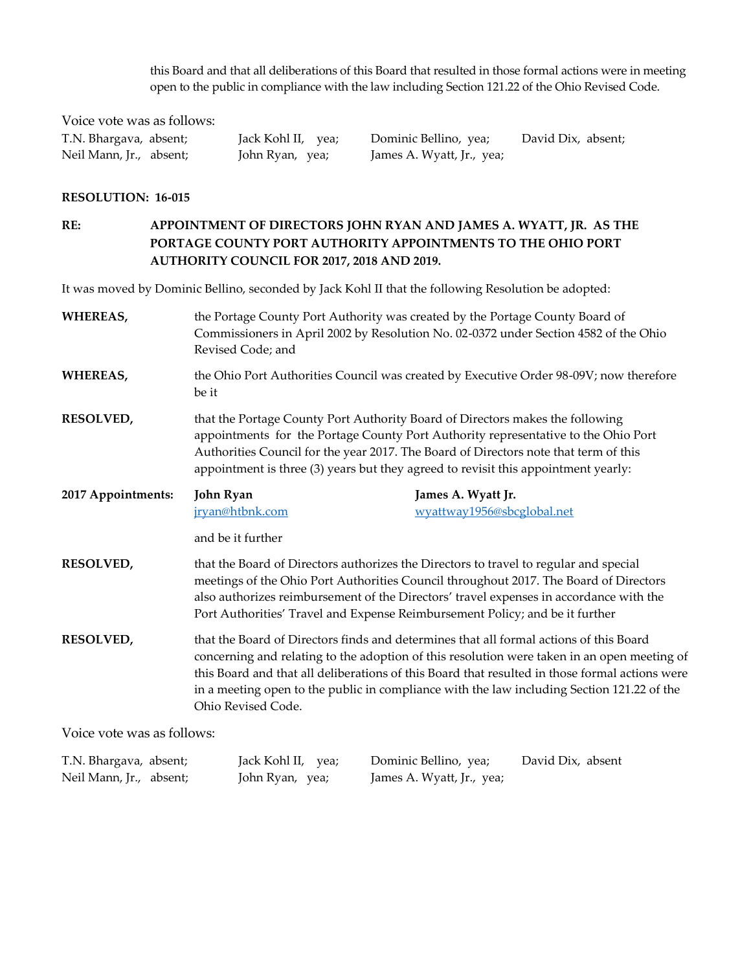this Board and that all deliberations of this Board that resulted in those formal actions were in meeting open to the public in compliance with the law including Section 121.22 of the Ohio Revised Code.

Voice vote was as follows: Neil Mann, Jr., absent; John Ryan, yea; James A. Wyatt, Jr., yea;

T.N. Bhargava, absent; Jack Kohl II, yea; Dominic Bellino, yea; David Dix, absent;

#### **RESOLUTION: 16-015**

**RE: APPOINTMENT OF DIRECTORS JOHN RYAN AND JAMES A. WYATT, JR. AS THE PORTAGE COUNTY PORT AUTHORITY APPOINTMENTS TO THE OHIO PORT AUTHORITY COUNCIL FOR 2017, 2018 AND 2019.**

It was moved by Dominic Bellino, seconded by Jack Kohl II that the following Resolution be adopted:

| <b>WHEREAS,</b>    | the Portage County Port Authority was created by the Portage County Board of<br>Commissioners in April 2002 by Resolution No. 02-0372 under Section 4582 of the Ohio<br>Revised Code; and                                                                                                                                                                                                                                                                                                                                                                                             |                                                                                                                                                                                |  |
|--------------------|---------------------------------------------------------------------------------------------------------------------------------------------------------------------------------------------------------------------------------------------------------------------------------------------------------------------------------------------------------------------------------------------------------------------------------------------------------------------------------------------------------------------------------------------------------------------------------------|--------------------------------------------------------------------------------------------------------------------------------------------------------------------------------|--|
| <b>WHEREAS,</b>    | the Ohio Port Authorities Council was created by Executive Order 98-09V; now therefore<br>be it                                                                                                                                                                                                                                                                                                                                                                                                                                                                                       |                                                                                                                                                                                |  |
| RESOLVED,          | that the Portage County Port Authority Board of Directors makes the following<br>appointments for the Portage County Port Authority representative to the Ohio Port<br>Authorities Council for the year 2017. The Board of Directors note that term of this<br>appointment is three (3) years but they agreed to revisit this appointment yearly:                                                                                                                                                                                                                                     |                                                                                                                                                                                |  |
| 2017 Appointments: | John Ryan<br>jryan@htbnk.com<br>and be it further                                                                                                                                                                                                                                                                                                                                                                                                                                                                                                                                     | James A. Wyatt Jr.<br>wyattway1956@sbcglobal.net                                                                                                                               |  |
| <b>RESOLVED,</b>   |                                                                                                                                                                                                                                                                                                                                                                                                                                                                                                                                                                                       | that the Board of Directors authorizes the Directors to travel to regular and special<br>meetings of the Ohio Port Authorities Council throughout 2017. The Board of Directors |  |
| <b>RESOLVED,</b>   | also authorizes reimbursement of the Directors' travel expenses in accordance with the<br>Port Authorities' Travel and Expense Reimbursement Policy; and be it further<br>that the Board of Directors finds and determines that all formal actions of this Board<br>concerning and relating to the adoption of this resolution were taken in an open meeting of<br>this Board and that all deliberations of this Board that resulted in those formal actions were<br>in a meeting open to the public in compliance with the law including Section 121.22 of the<br>Ohio Revised Code. |                                                                                                                                                                                |  |

Voice vote was as follows:

| T.N. Bhargava, absent;  | Jack Kohl II, yea; | Dominic Bellino, yea;     | David Dix, absent |
|-------------------------|--------------------|---------------------------|-------------------|
| Neil Mann, Jr., absent; | John Ryan, yea;    | James A. Wyatt, Jr., yea; |                   |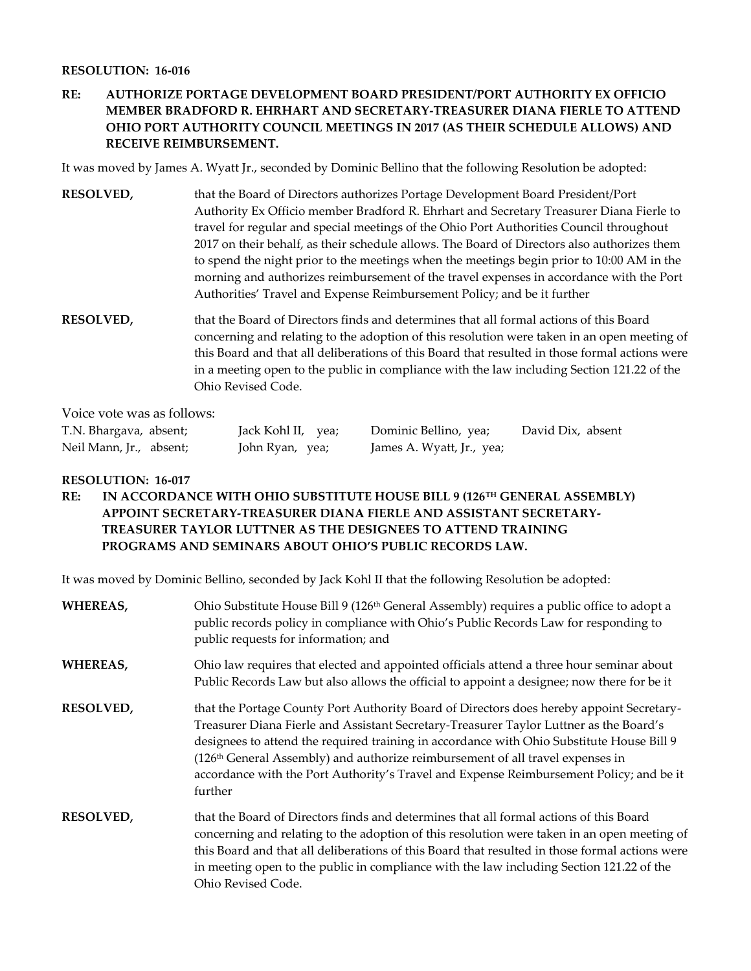#### **RESOLUTION: 16-016**

# **RE: AUTHORIZE PORTAGE DEVELOPMENT BOARD PRESIDENT/PORT AUTHORITY EX OFFICIO MEMBER BRADFORD R. EHRHART AND SECRETARY-TREASURER DIANA FIERLE TO ATTEND OHIO PORT AUTHORITY COUNCIL MEETINGS IN 2017 (AS THEIR SCHEDULE ALLOWS) AND RECEIVE REIMBURSEMENT.**

It was moved by James A. Wyatt Jr., seconded by Dominic Bellino that the following Resolution be adopted:

- **RESOLVED,** that the Board of Directors authorizes Portage Development Board President/Port Authority Ex Officio member Bradford R. Ehrhart and Secretary Treasurer Diana Fierle to travel for regular and special meetings of the Ohio Port Authorities Council throughout 2017 on their behalf, as their schedule allows. The Board of Directors also authorizes them to spend the night prior to the meetings when the meetings begin prior to 10:00 AM in the morning and authorizes reimbursement of the travel expenses in accordance with the Port Authorities' Travel and Expense Reimbursement Policy; and be it further
- **RESOLVED,** that the Board of Directors finds and determines that all formal actions of this Board concerning and relating to the adoption of this resolution were taken in an open meeting of this Board and that all deliberations of this Board that resulted in those formal actions were in a meeting open to the public in compliance with the law including Section 121.22 of the Ohio Revised Code.

Voice vote was as follows:

| T.N. Bhargava, absent;  | Jack Kohl II, yea; | Dominic Bellino, yea;     | David Dix, absent |
|-------------------------|--------------------|---------------------------|-------------------|
| Neil Mann, Jr., absent; | John Ryan, yea;    | James A. Wyatt, Jr., yea; |                   |

### **RESOLUTION: 16-017**

**RE: IN ACCORDANCE WITH OHIO SUBSTITUTE HOUSE BILL 9 (126TH GENERAL ASSEMBLY) APPOINT SECRETARY-TREASURER DIANA FIERLE AND ASSISTANT SECRETARY- TREASURER TAYLOR LUTTNER AS THE DESIGNEES TO ATTEND TRAINING PROGRAMS AND SEMINARS ABOUT OHIO'S PUBLIC RECORDS LAW.** 

It was moved by Dominic Bellino, seconded by Jack Kohl II that the following Resolution be adopted:

| WHEREAS,         | Ohio Substitute House Bill 9 (126 <sup>th</sup> General Assembly) requires a public office to adopt a<br>public records policy in compliance with Ohio's Public Records Law for responding to<br>public requests for information; and                                                                                                                                                                                                                                               |
|------------------|-------------------------------------------------------------------------------------------------------------------------------------------------------------------------------------------------------------------------------------------------------------------------------------------------------------------------------------------------------------------------------------------------------------------------------------------------------------------------------------|
| WHEREAS,         | Ohio law requires that elected and appointed officials attend a three hour seminar about<br>Public Records Law but also allows the official to appoint a designee; now there for be it                                                                                                                                                                                                                                                                                              |
| <b>RESOLVED,</b> | that the Portage County Port Authority Board of Directors does hereby appoint Secretary-<br>Treasurer Diana Fierle and Assistant Secretary-Treasurer Taylor Luttner as the Board's<br>designees to attend the required training in accordance with Ohio Substitute House Bill 9<br>(126 <sup>th</sup> General Assembly) and authorize reimbursement of all travel expenses in<br>accordance with the Port Authority's Travel and Expense Reimbursement Policy; and be it<br>further |
| <b>RESOLVED,</b> | that the Board of Directors finds and determines that all formal actions of this Board<br>concerning and relating to the adoption of this resolution were taken in an open meeting of<br>this Board and that all deliberations of this Board that resulted in those formal actions were<br>in meeting open to the public in compliance with the law including Section 121.22 of the<br>Ohio Revised Code.                                                                           |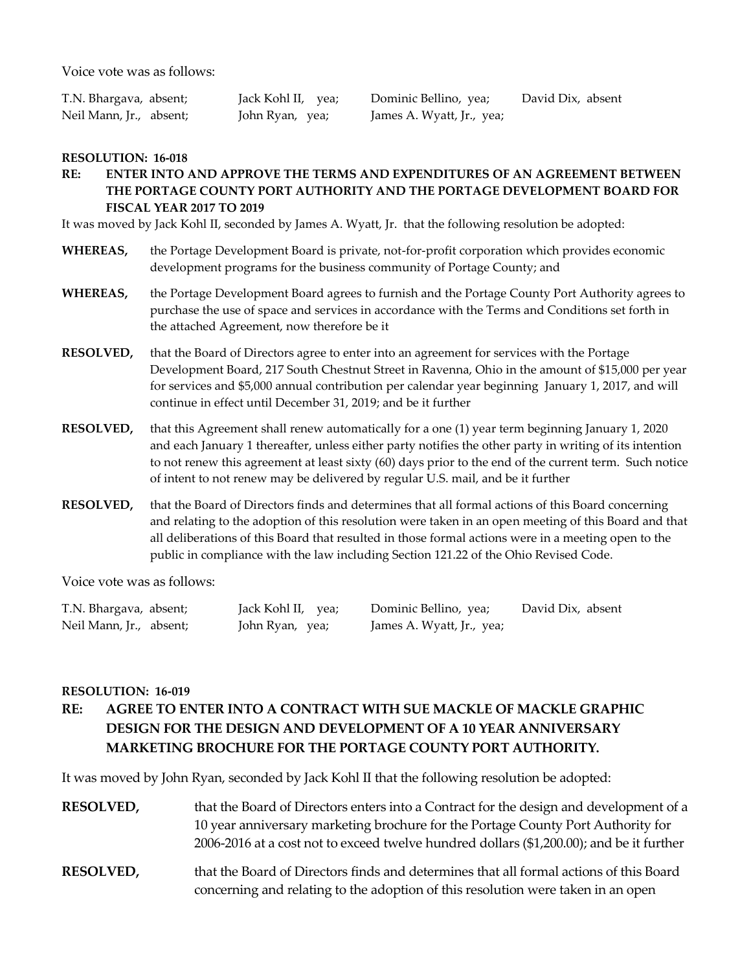Voice vote was as follows:

Neil Mann, Jr., absent; John Ryan, yea; James A. Wyatt, Jr., yea;

T.N. Bhargava, absent; Jack Kohl II, yea; Dominic Bellino, yea; David Dix, absent

#### **RESOLUTION: 16-018**

### **RE: ENTER INTO AND APPROVE THE TERMS AND EXPENDITURES OF AN AGREEMENT BETWEEN THE PORTAGE COUNTY PORT AUTHORITY AND THE PORTAGE DEVELOPMENT BOARD FOR FISCAL YEAR 2017 TO 2019**

It was moved by Jack Kohl II, seconded by James A. Wyatt, Jr. that the following resolution be adopted:

- **WHEREAS,** the Portage Development Board is private, not-for-profit corporation which provides economic development programs for the business community of Portage County; and
- **WHEREAS,** the Portage Development Board agrees to furnish and the Portage County Port Authority agrees to purchase the use of space and services in accordance with the Terms and Conditions set forth in the attached Agreement, now therefore be it
- **RESOLVED,** that the Board of Directors agree to enter into an agreement for services with the Portage Development Board, 217 South Chestnut Street in Ravenna, Ohio in the amount of \$15,000 per year for services and \$5,000 annual contribution per calendar year beginning January 1, 2017, and will continue in effect until December 31, 2019; and be it further
- **RESOLVED,** that this Agreement shall renew automatically for a one (1) year term beginning January 1, 2020 and each January 1 thereafter, unless either party notifies the other party in writing of its intention to not renew this agreement at least sixty (60) days prior to the end of the current term. Such notice of intent to not renew may be delivered by regular U.S. mail, and be it further
- **RESOLVED,** that the Board of Directors finds and determines that all formal actions of this Board concerning and relating to the adoption of this resolution were taken in an open meeting of this Board and that all deliberations of this Board that resulted in those formal actions were in a meeting open to the public in compliance with the law including Section 121.22 of the Ohio Revised Code.

Voice vote was as follows:

| T.N. Bhargava, absent;  | Jack Kohl II, yea; | Dominic Bellino, yea;     | David Dix, absent |
|-------------------------|--------------------|---------------------------|-------------------|
| Neil Mann, Jr., absent; | John Ryan, yea;    | James A. Wyatt, Jr., yea; |                   |

#### **RESOLUTION: 16-019**

# **RE: AGREE TO ENTER INTO A CONTRACT WITH SUE MACKLE OF MACKLE GRAPHIC DESIGN FOR THE DESIGN AND DEVELOPMENT OF A 10 YEAR ANNIVERSARY MARKETING BROCHURE FOR THE PORTAGE COUNTY PORT AUTHORITY.**

It was moved by John Ryan, seconded by Jack Kohl II that the following resolution be adopted:

| <b>RESOLVED,</b> | that the Board of Directors enters into a Contract for the design and development of a   |
|------------------|------------------------------------------------------------------------------------------|
|                  | 10 year anniversary marketing brochure for the Portage County Port Authority for         |
|                  | 2006-2016 at a cost not to exceed twelve hundred dollars (\$1,200.00); and be it further |
|                  |                                                                                          |

**RESOLVED,** that the Board of Directors finds and determines that all formal actions of this Board concerning and relating to the adoption of this resolution were taken in an open